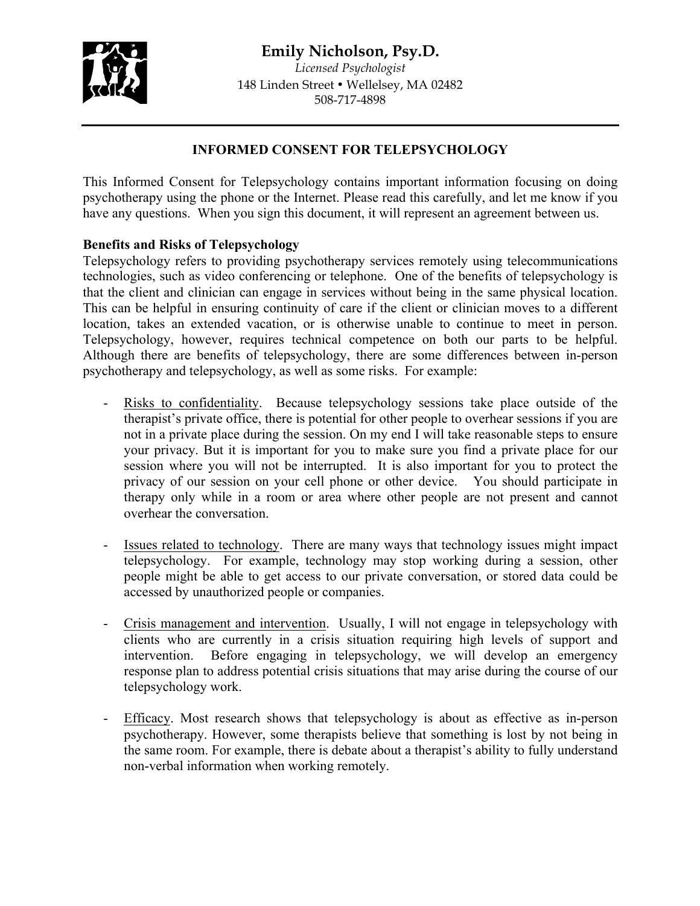## **Emily Nicholson, Psy.D.**



*Licensed Psychologist* 148 Linden Street • Wellelsey, MA 02482 508-717-4898

## **INFORMED CONSENT FOR TELEPSYCHOLOGY**

This Informed Consent for Telepsychology contains important information focusing on doing psychotherapy using the phone or the Internet. Please read this carefully, and let me know if you have any questions. When you sign this document, it will represent an agreement between us.

### **Benefits and Risks of Telepsychology**

Telepsychology refers to providing psychotherapy services remotely using telecommunications technologies, such as video conferencing or telephone. One of the benefits of telepsychology is that the client and clinician can engage in services without being in the same physical location. This can be helpful in ensuring continuity of care if the client or clinician moves to a different location, takes an extended vacation, or is otherwise unable to continue to meet in person. Telepsychology, however, requires technical competence on both our parts to be helpful. Although there are benefits of telepsychology, there are some differences between in-person psychotherapy and telepsychology, as well as some risks. For example:

- Risks to confidentiality. Because telepsychology sessions take place outside of the therapist's private office, there is potential for other people to overhear sessions if you are not in a private place during the session. On my end I will take reasonable steps to ensure your privacy. But it is important for you to make sure you find a private place for our session where you will not be interrupted. It is also important for you to protect the privacy of our session on your cell phone or other device. You should participate in therapy only while in a room or area where other people are not present and cannot overhear the conversation.
- Issues related to technology. There are many ways that technology issues might impact telepsychology. For example, technology may stop working during a session, other people might be able to get access to our private conversation, or stored data could be accessed by unauthorized people or companies.
- Crisis management and intervention. Usually, I will not engage in telepsychology with clients who are currently in a crisis situation requiring high levels of support and intervention. Before engaging in telepsychology, we will develop an emergency response plan to address potential crisis situations that may arise during the course of our telepsychology work.
- Efficacy. Most research shows that telepsychology is about as effective as in-person psychotherapy. However, some therapists believe that something is lost by not being in the same room. For example, there is debate about a therapist's ability to fully understand non-verbal information when working remotely.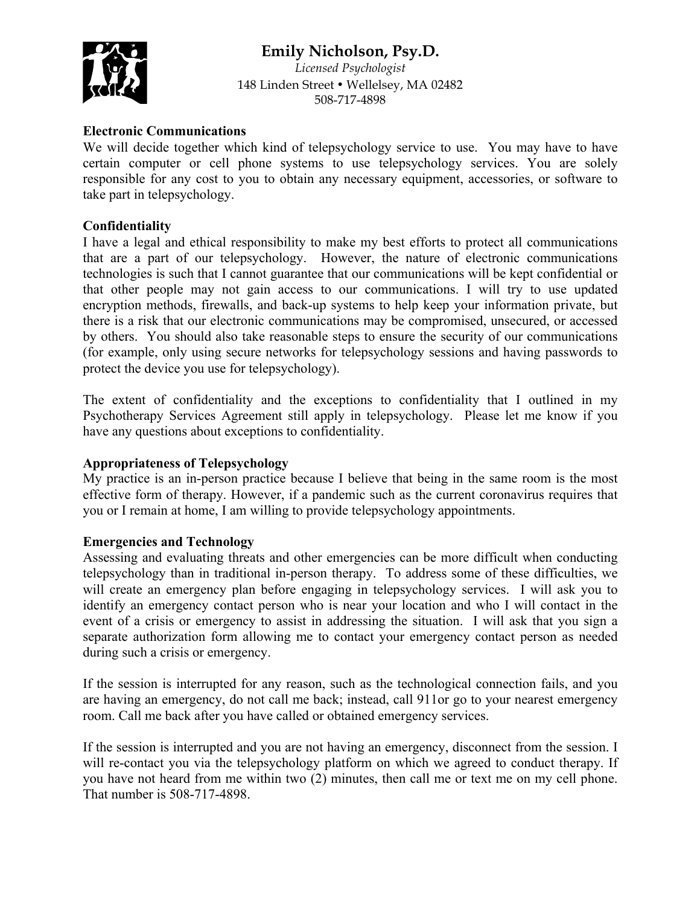# **Emily Nicholson, Psy.D.**



*Licensed Psychologist* 148 Linden Street • Wellelsey, MA 02482 508-717-4898

#### **Electronic Communications**

We will decide together which kind of telepsychology service to use. You may have to have certain computer or cell phone systems to use telepsychology services. You are solely responsible for any cost to you to obtain any necessary equipment, accessories, or software to take part in telepsychology.

### **Confidentiality**

I have a legal and ethical responsibility to make my best efforts to protect all communications that are a part of our telepsychology. However, the nature of electronic communications technologies is such that I cannot guarantee that our communications will be kept confidential or that other people may not gain access to our communications. I will try to use updated encryption methods, firewalls, and back-up systems to help keep your information private, but there is a risk that our electronic communications may be compromised, unsecured, or accessed by others. You should also take reasonable steps to ensure the security of our communications (for example, only using secure networks for telepsychology sessions and having passwords to protect the device you use for telepsychology).

The extent of confidentiality and the exceptions to confidentiality that I outlined in my Psychotherapy Services Agreement still apply in telepsychology. Please let me know if you have any questions about exceptions to confidentiality.

## **Appropriateness of Telepsychology**

My practice is an in-person practice because I believe that being in the same room is the most effective form of therapy. However, if a pandemic such as the current coronavirus requires that you or I remain at home, I am willing to provide telepsychology appointments.

#### **Emergencies and Technology**

Assessing and evaluating threats and other emergencies can be more difficult when conducting telepsychology than in traditional in-person therapy. To address some of these difficulties, we will create an emergency plan before engaging in telepsychology services. I will ask you to identify an emergency contact person who is near your location and who I will contact in the event of a crisis or emergency to assist in addressing the situation. I will ask that you sign a separate authorization form allowing me to contact your emergency contact person as needed during such a crisis or emergency.

If the session is interrupted for any reason, such as the technological connection fails, and you are having an emergency, do not call me back; instead, call 911or go to your nearest emergency room. Call me back after you have called or obtained emergency services.

If the session is interrupted and you are not having an emergency, disconnect from the session. I will re-contact you via the telepsychology platform on which we agreed to conduct therapy. If you have not heard from me within two (2) minutes, then call me or text me on my cell phone. That number is 508-717-4898.